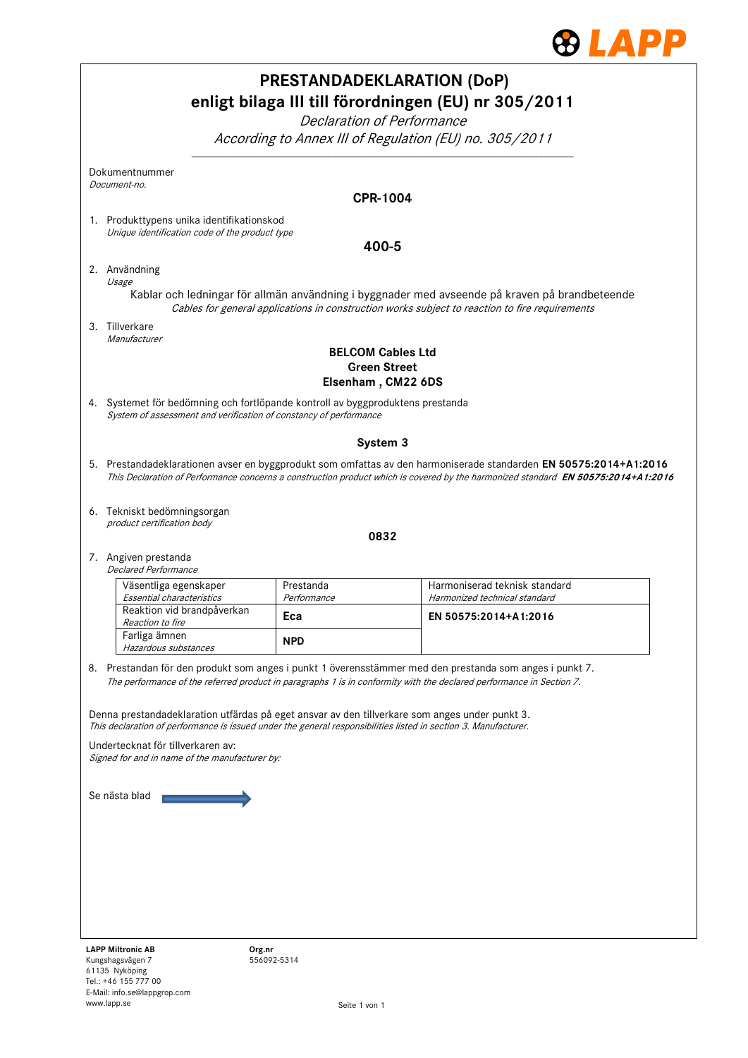

|                                                                                                                                                      |                    | <b>PRESTANDADEKLARATION (DoP)</b>                                                                                                                                                                |
|------------------------------------------------------------------------------------------------------------------------------------------------------|--------------------|--------------------------------------------------------------------------------------------------------------------------------------------------------------------------------------------------|
|                                                                                                                                                      |                    | enligt bilaga III till förordningen (EU) nr 305/2011                                                                                                                                             |
|                                                                                                                                                      |                    | Declaration of Performance                                                                                                                                                                       |
|                                                                                                                                                      |                    | According to Annex III of Regulation (EU) no. 305/2011                                                                                                                                           |
| Dokumentnummer                                                                                                                                       |                    |                                                                                                                                                                                                  |
| Document-no.                                                                                                                                         |                    | <b>CPR-1004</b>                                                                                                                                                                                  |
| 1. Produkttypens unika identifikationskod                                                                                                            |                    |                                                                                                                                                                                                  |
| Unique identification code of the product type                                                                                                       |                    | 400-5                                                                                                                                                                                            |
| 2. Användning                                                                                                                                        |                    |                                                                                                                                                                                                  |
| Usage                                                                                                                                                |                    | Kablar och ledningar för allmän användning i byggnader med avseende på kraven på brandbeteende<br>Cables for general applications in construction works subject to reaction to fire requirements |
| 3. Tillverkare<br>Manufacturer                                                                                                                       |                    |                                                                                                                                                                                                  |
|                                                                                                                                                      |                    | <b>BELCOM Cables Ltd</b><br><b>Green Street</b><br>Elsenham, CM22 6DS                                                                                                                            |
| 4. Systemet för bedömning och fortlöpande kontroll av byggproduktens prestanda<br>System of assessment and verification of constancy of performance  |                    |                                                                                                                                                                                                  |
|                                                                                                                                                      |                    | System 3                                                                                                                                                                                         |
|                                                                                                                                                      |                    | 5. Prestandadeklarationen avser en byggprodukt som omfattas av den harmoniserade standarden EN 50575:2014+A1:2016                                                                                |
|                                                                                                                                                      |                    | This Declaration of Performance concerns a construction product which is covered by the harmonized standard EN 50575:2014+A1:2016                                                                |
| 6. Tekniskt bedömningsorgan                                                                                                                          |                    |                                                                                                                                                                                                  |
| product certification body                                                                                                                           |                    | 0832                                                                                                                                                                                             |
| 7. Angiven prestanda<br><b>Declared Performance</b>                                                                                                  |                    |                                                                                                                                                                                                  |
| Väsentliga egenskaper                                                                                                                                | Prestanda          | Harmoniserad teknisk standard                                                                                                                                                                    |
| Essential characteristics<br>Reaktion vid brandpåverkan                                                                                              | Performance<br>Eca | Harmonized technical standard<br>EN 50575:2014+A1:2016                                                                                                                                           |
| Reaction to fire<br>Farliga ämnen<br>Hazardous substances                                                                                            | <b>NPD</b>         |                                                                                                                                                                                                  |
|                                                                                                                                                      |                    | 8. Prestandan för den produkt som anges i punkt 1 överensstämmer med den prestanda som anges i punkt 7.                                                                                          |
|                                                                                                                                                      |                    | The performance of the referred product in paragraphs 1 is in conformity with the declared performance in Section 7.                                                                             |
| Denna prestandadeklaration utfärdas på eget ansvar av den tillverkare som anges under punkt 3.                                                       |                    |                                                                                                                                                                                                  |
| This declaration of performance is issued under the general responsibilities listed in section 3. Manufacturer.<br>Undertecknat för tillverkaren av: |                    |                                                                                                                                                                                                  |
| Signed for and in name of the manufacturer by:                                                                                                       |                    |                                                                                                                                                                                                  |
|                                                                                                                                                      |                    |                                                                                                                                                                                                  |
| Se nästa blad                                                                                                                                        |                    |                                                                                                                                                                                                  |
|                                                                                                                                                      |                    |                                                                                                                                                                                                  |
|                                                                                                                                                      |                    |                                                                                                                                                                                                  |
|                                                                                                                                                      |                    |                                                                                                                                                                                                  |
|                                                                                                                                                      |                    |                                                                                                                                                                                                  |
|                                                                                                                                                      |                    |                                                                                                                                                                                                  |
|                                                                                                                                                      |                    |                                                                                                                                                                                                  |